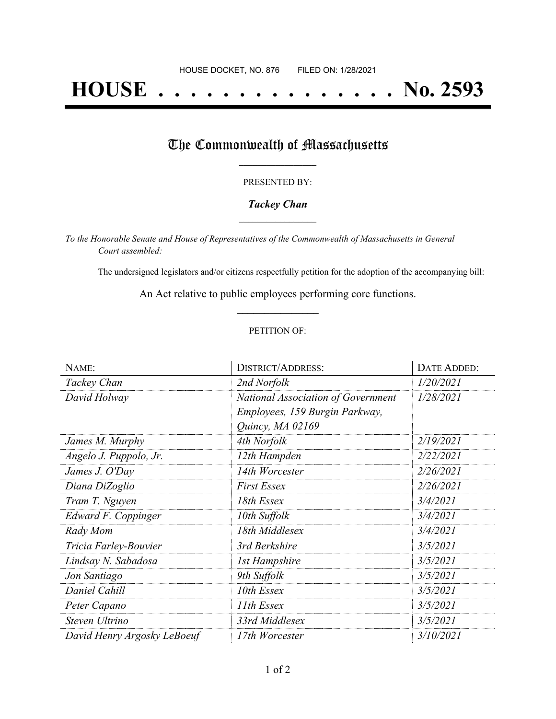# **HOUSE . . . . . . . . . . . . . . . No. 2593**

## The Commonwealth of Massachusetts

#### PRESENTED BY:

#### *Tackey Chan* **\_\_\_\_\_\_\_\_\_\_\_\_\_\_\_\_\_**

*To the Honorable Senate and House of Representatives of the Commonwealth of Massachusetts in General Court assembled:*

The undersigned legislators and/or citizens respectfully petition for the adoption of the accompanying bill:

An Act relative to public employees performing core functions. **\_\_\_\_\_\_\_\_\_\_\_\_\_\_\_**

#### PETITION OF:

| NAME:                       | <b>DISTRICT/ADDRESS:</b>                                                                 | DATE ADDED: |
|-----------------------------|------------------------------------------------------------------------------------------|-------------|
| Tackey Chan                 | 2nd Norfolk                                                                              | 1/20/2021   |
| David Holway                | National Association of Government<br>Employees, 159 Burgin Parkway,<br>Quincy, MA 02169 | 1/28/2021   |
| James M. Murphy             | 4th Norfolk                                                                              | 2/19/2021   |
| Angelo J. Puppolo, Jr.      | 12th Hampden                                                                             | 2/22/2021   |
| James J. O'Day              | 14th Worcester                                                                           | 2/26/2021   |
| Diana DiZoglio              | <b>First Essex</b>                                                                       | 2/26/2021   |
| Tram T. Nguyen              | 18th Essex                                                                               | 3/4/2021    |
| Edward F. Coppinger         | 10th Suffolk                                                                             | 3/4/2021    |
| Rady Mom                    | 18th Middlesex                                                                           | 3/4/2021    |
| Tricia Farley-Bouvier       | 3rd Berkshire                                                                            | 3/5/2021    |
| Lindsay N. Sabadosa         | <b>1st Hampshire</b>                                                                     | 3/5/2021    |
| Jon Santiago                | 9th Suffolk                                                                              | 3/5/2021    |
| Daniel Cahill               | 10th Essex                                                                               | 3/5/2021    |
| Peter Capano                | 11th Essex                                                                               | 3/5/2021    |
| Steven Ultrino              | 33rd Middlesex                                                                           | 3/5/2021    |
| David Henry Argosky LeBoeuf | 17th Worcester                                                                           | 3/10/2021   |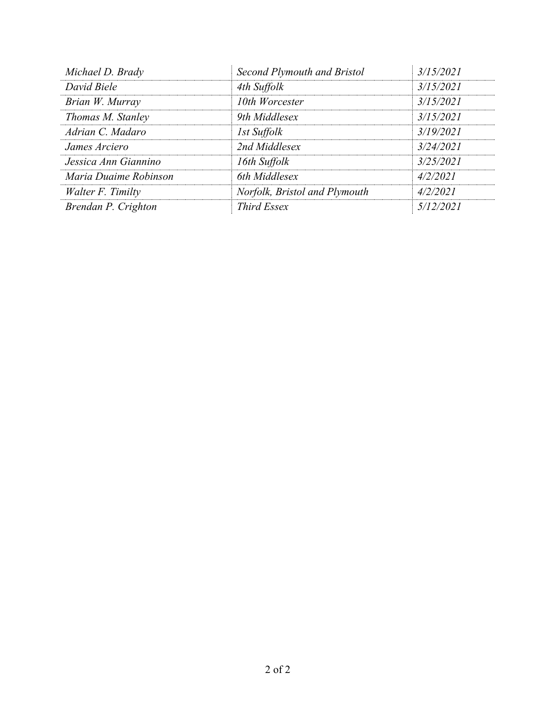| Michael D. Brady      | Second Plymouth and Bristol   | 3/15/2021 |
|-----------------------|-------------------------------|-----------|
| David Biele           | 4th Suffolk                   | 3/15/2021 |
| Brian W. Murray       | 10th Worcester                | 3/15/2021 |
| Thomas M. Stanley     | 9th Middlesex                 | 3/15/2021 |
| Adrian C. Madaro      | 1st Suffolk                   | 3/19/2021 |
| James Arciero         | 2nd Middlesex                 | 3/24/2021 |
| Jessica Ann Giannino  | 16th Suffolk                  | 3/25/2021 |
| Maria Duaime Robinson | 6th Middlesex                 | 4/2/2021  |
| Walter F. Timilty     | Norfolk, Bristol and Plymouth | 4/2/2021  |
| Brendan P. Crighton   | <b>Third Essex</b>            | 5/12/2021 |